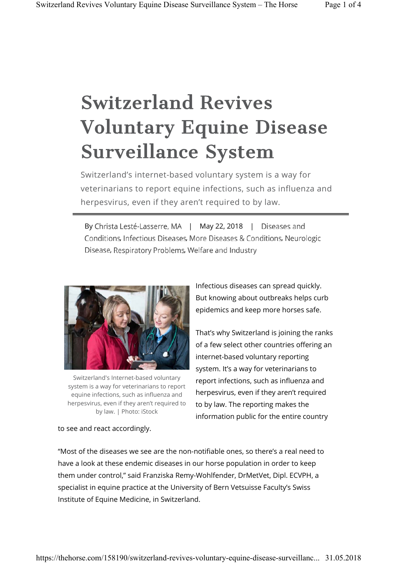## Switzerland Revives Voluntary Equine Disease Surveillance System

Switzerland's internet-based voluntary system is a way for veterinarians to report equine infections, such as influenza and herpesvirus, even if they aren't required to by law.

By Christa Lesté-Lasserre, MA | May 22, 2018 | Diseases and Conditions, Infectious Diseases, More Diseases & Conditions, Neurologic Disease, Respiratory Problems, Welfare and Industry



Switzerland's Internet-based voluntary system is a way for veterinarians to report equine infections, such as influenza and herpesvirus, even if they aren't required to by law. | Photo: iStock

Infectious diseases can spread quickly. But knowing about outbreaks helps curb epidemics and keep more horses safe.

That's why Switzerland is joining the ranks of a few select other countries offering an internet-based voluntary reporting system. It's a way for veterinarians to report infections, such as influenza and herpesvirus, even if they aren't required to by law. The reporting makes the information public for the entire country

to see and react accordingly.

"Most of the diseases we see are the non-notifiable ones, so there's a real need to have a look at these endemic diseases in our horse population in order to keep them under control," said Franziska Remy-Wohlfender, DrMetVet, Dipl. ECVPH, a specialist in equine practice at the University of Bern Vetsuisse Faculty's Swiss Institute of Equine Medicine, in Switzerland.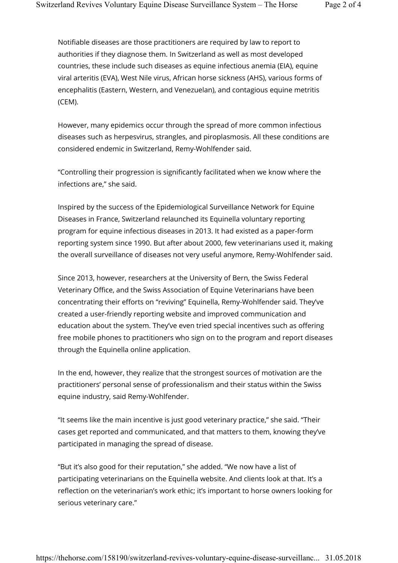Notifiable diseases are those practitioners are required by law to report to authorities if they diagnose them. In Switzerland as well as most developed countries, these include such diseases as equine infectious anemia (EIA), equine viral arteritis (EVA), West Nile virus, African horse sickness (AHS), various forms of encephalitis (Eastern, Western, and Venezuelan), and contagious equine metritis (CEM).

However, many epidemics occur through the spread of more common infectious diseases such as herpesvirus, strangles, and piroplasmosis. All these conditions are considered endemic in Switzerland, Remy-Wohlfender said.

"Controlling their progression is significantly facilitated when we know where the infections are," she said.

Inspired by the success of the Epidemiological Surveillance Network for Equine Diseases in France, Switzerland relaunched its Equinella voluntary reporting program for equine infectious diseases in 2013. It had existed as a paper-form reporting system since 1990. But after about 2000, few veterinarians used it, making the overall surveillance of diseases not very useful anymore, Remy-Wohlfender said.

Since 2013, however, researchers at the University of Bern, the Swiss Federal Veterinary Office, and the Swiss Association of Equine Veterinarians have been concentrating their efforts on "reviving" Equinella, Remy-Wohlfender said. They've created a user-friendly reporting website and improved communication and education about the system. They've even tried special incentives such as offering free mobile phones to practitioners who sign on to the program and report diseases through the Equinella online application.

In the end, however, they realize that the strongest sources of motivation are the practitioners' personal sense of professionalism and their status within the Swiss equine industry, said Remy-Wohlfender.

"It seems like the main incentive is just good veterinary practice," she said. "Their cases get reported and communicated, and that matters to them, knowing they've participated in managing the spread of disease.

"But it's also good for their reputation," she added. "We now have a list of participating veterinarians on the Equinella website. And clients look at that. It's a reflection on the veterinarian's work ethic; it's important to horse owners looking for serious veterinary care."